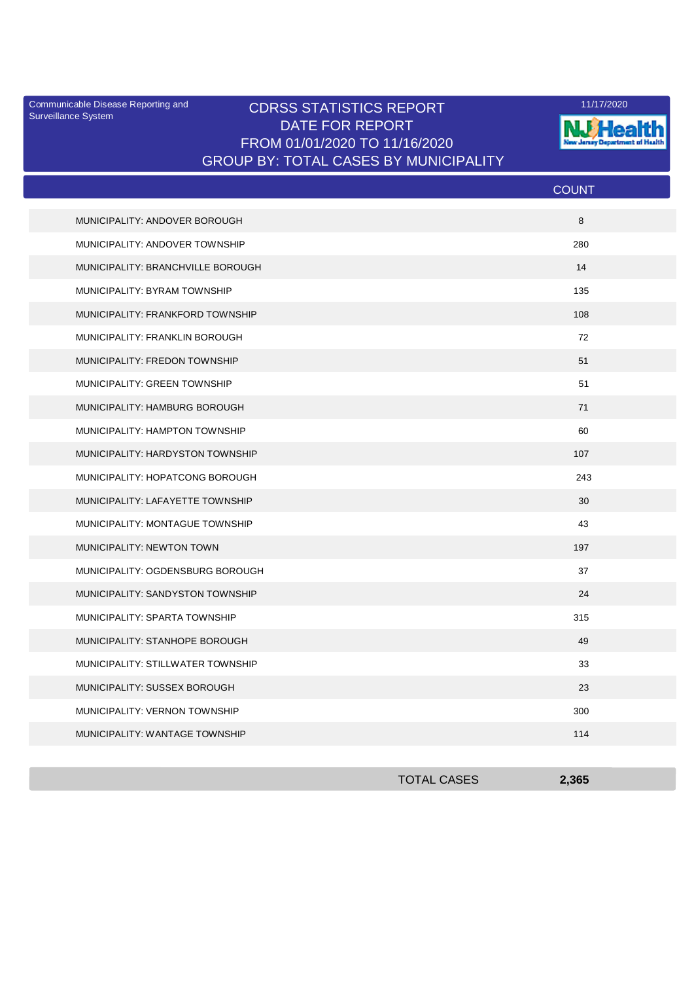Surveillance System

## Communicable Disease Reporting and **CDRSS STATISTICS REPORT** 11/17/2020<br>Surveillance Statem DATE FOR REPORT FROM 01/01/2020 TO 11/16/2020 GROUP BY: TOTAL CASES BY MUNICIPALITY



|                                   | <b>COUNT</b> |
|-----------------------------------|--------------|
| MUNICIPALITY: ANDOVER BOROUGH     | 8            |
| MUNICIPALITY: ANDOVER TOWNSHIP    | 280          |
| MUNICIPALITY: BRANCHVILLE BOROUGH | 14           |
| MUNICIPALITY: BYRAM TOWNSHIP      | 135          |
| MUNICIPALITY: FRANKFORD TOWNSHIP  | 108          |
| MUNICIPALITY: FRANKLIN BOROUGH    | 72           |
| MUNICIPALITY: FREDON TOWNSHIP     | 51           |
| MUNICIPALITY: GREEN TOWNSHIP      | 51           |
| MUNICIPALITY: HAMBURG BOROUGH     | 71           |
| MUNICIPALITY: HAMPTON TOWNSHIP    | 60           |
| MUNICIPALITY: HARDYSTON TOWNSHIP  | 107          |
| MUNICIPALITY: HOPATCONG BOROUGH   | 243          |
| MUNICIPALITY: LAFAYETTE TOWNSHIP  | 30           |
| MUNICIPALITY: MONTAGUE TOWNSHIP   | 43           |
| <b>MUNICIPALITY: NEWTON TOWN</b>  | 197          |
| MUNICIPALITY: OGDENSBURG BOROUGH  | 37           |
| MUNICIPALITY: SANDYSTON TOWNSHIP  | 24           |
| MUNICIPALITY: SPARTA TOWNSHIP     | 315          |
| MUNICIPALITY: STANHOPE BOROUGH    | 49           |
| MUNICIPALITY: STILLWATER TOWNSHIP | 33           |
| MUNICIPALITY: SUSSEX BOROUGH      | 23           |
| MUNICIPALITY: VERNON TOWNSHIP     | 300          |
| MUNICIPALITY: WANTAGE TOWNSHIP    | 114          |

| <b>TOTAL CASES</b> | 2,365 |
|--------------------|-------|
|                    |       |